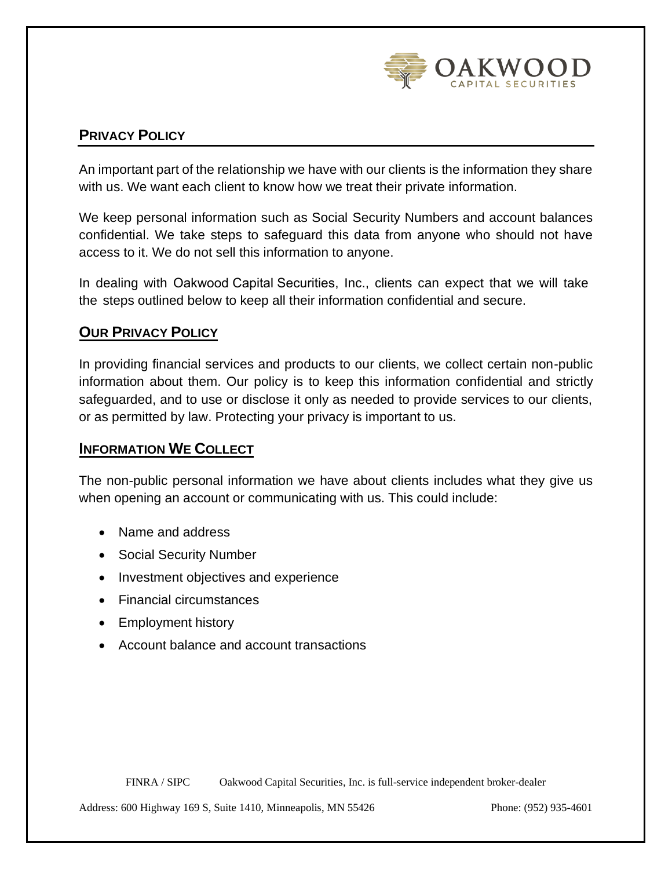

# **PRIVACY POLICY**

An important part of the relationship we have with our clients is the information they share with us. We want each client to know how we treat their private information.

We keep personal information such as Social Security Numbers and account balances confidential. We take steps to safeguard this data from anyone who should not have access to it. We do not sell this information to anyone.

In dealing with Oakwood Capital Securities, Inc., clients can expect that we will take the steps outlined below to keep all their information confidential and secure.

## **OUR PRIVACY POLICY**

In providing financial services and products to our clients, we collect certain non-public information about them. Our policy is to keep this information confidential and strictly safeguarded, and to use or disclose it only as needed to provide services to our clients, or as permitted by law. Protecting your privacy is important to us.

#### **INFORMATION WE COLLECT**

The non-public personal information we have about clients includes what they give us when opening an account or communicating with us. This could include:

- Name and address
- Social Security Number
- Investment objectives and experience
- Financial circumstances
- Employment history
- Account balance and account transactions

FINRA / SIPC Oakwood Capital Securities, Inc. is full-service independent broker-dealer

Address: 600 Highway 169 S, Suite 1410, Minneapolis, MN 55426 Phone: (952) 935-4601